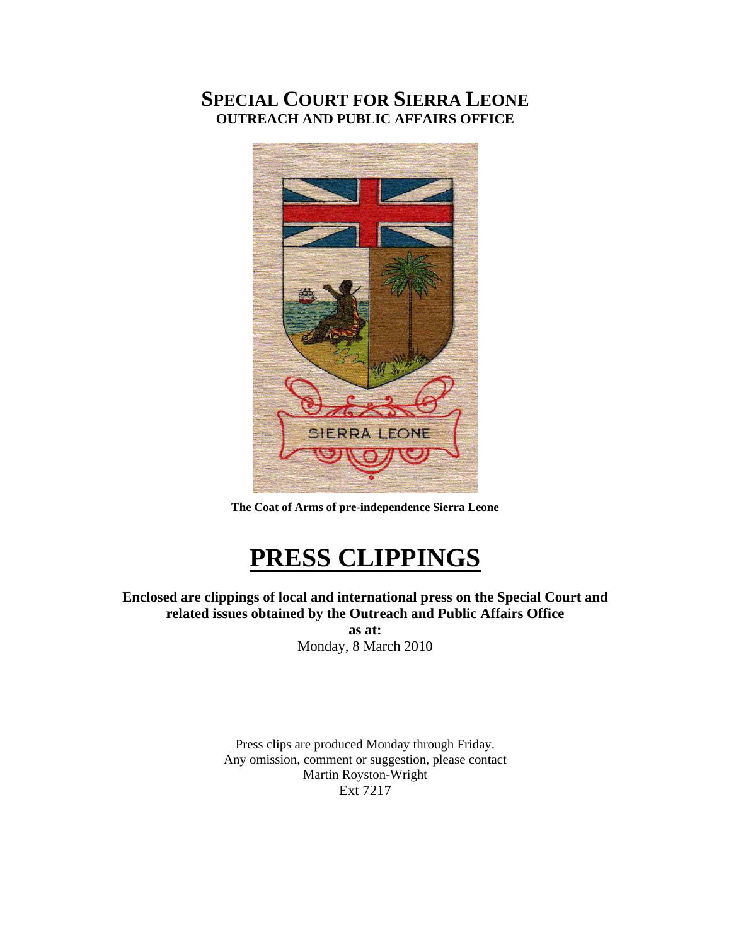## **SPECIAL COURT FOR SIERRA LEONE OUTREACH AND PUBLIC AFFAIRS OFFICE**



**The Coat of Arms of pre-independence Sierra Leone** 

## **PRESS CLIPPINGS**

**Enclosed are clippings of local and international press on the Special Court and related issues obtained by the Outreach and Public Affairs Office** 

**as at:**  Monday, 8 March 2010

Press clips are produced Monday through Friday. Any omission, comment or suggestion, please contact Martin Royston-Wright Ext 7217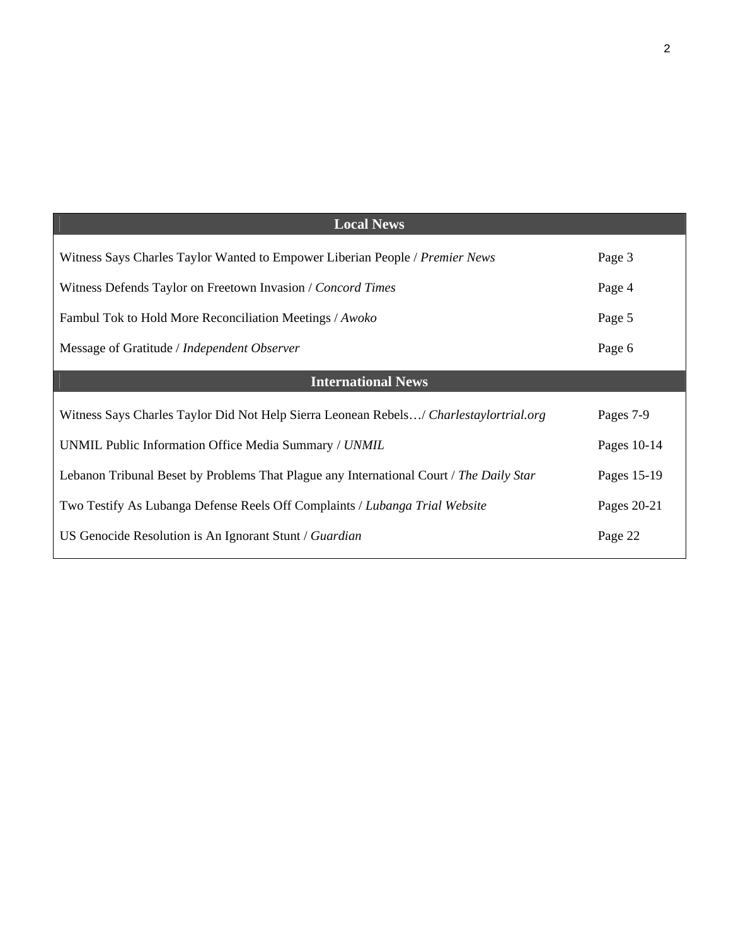| <b>Local News</b>                                                                       |             |
|-----------------------------------------------------------------------------------------|-------------|
| Witness Says Charles Taylor Wanted to Empower Liberian People / Premier News            | Page 3      |
| Witness Defends Taylor on Freetown Invasion / Concord Times                             | Page 4      |
| Fambul Tok to Hold More Reconciliation Meetings / Awoko                                 | Page 5      |
| Message of Gratitude / Independent Observer                                             | Page 6      |
| <b>International News</b>                                                               |             |
| Witness Says Charles Taylor Did Not Help Sierra Leonean Rebels/ Charlestaylortrial.org  | Pages 7-9   |
| UNMIL Public Information Office Media Summary / UNMIL                                   | Pages 10-14 |
| Lebanon Tribunal Beset by Problems That Plague any International Court / The Daily Star | Pages 15-19 |
| Two Testify As Lubanga Defense Reels Off Complaints / Lubanga Trial Website             | Pages 20-21 |
|                                                                                         |             |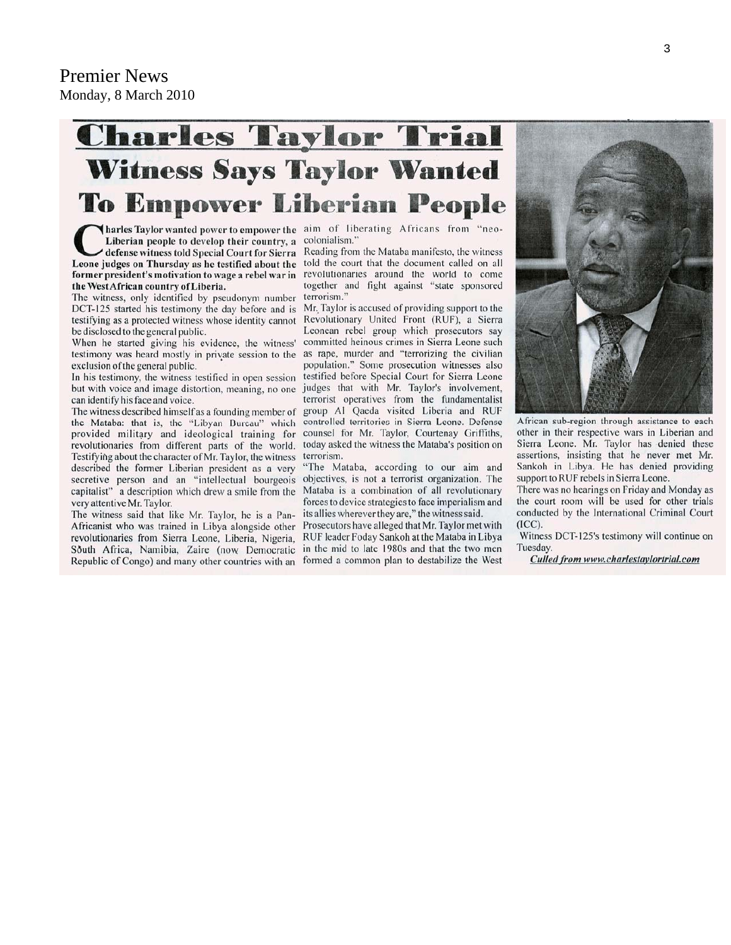## **Charles Taylor Trial Witness Says Taylor Wanted To Empower Liberian People**

Tharles Taylor wanted power to empower the aim of liberating Africans from "neo-Liberian people to develop their country, a colonialism. defense witness told Special Court for Sierra Leone judges on Thursday as he testified about the told the court that the document called on all former president's motivation to wage a rebel war in revolutionaries around the world to come the West African country of Liberia.

The witness, only identified by pseudonym number DCT-125 started his testimony the day before and is testifying as a protected witness whose identity cannot be disclosed to the general public.

When he started giving his evidence, the witness' testimony was heard mostly in private session to the exclusion of the general public.

In his testimony, the witness testified in open session but with voice and image distortion, meaning, no one can identify his face and voice.

The witness described himself as a founding member of the Mataba: that is, the "Libyan Bureau" which provided military and ideological training for revolutionaries from different parts of the world. Testifying about the character of Mr. Taylor, the witness described the former Liberian president as a very secretive person and an "intellectual bourgeois capitalist" a description which drew a smile from the very attentive Mr. Taylor.

The witness said that like Mr. Taylor, he is a Pan-Africanist who was trained in Libya alongside other revolutionaries from Sierra Leone, Liberia, Nigeria, South Africa, Namibia, Zaire (now Democratic Republic of Congo) and many other countries with an

Reading from the Mataba manifesto, the witness together and fight against "state sponsored terrorism.'

Mr. Taylor is accused of providing support to the Revolutionary United Front (RUF), a Sierra Leonean rebel group which prosecutors say committed heinous crimes in Sierra Leone such as rape, murder and "terrorizing the civilian population." Some prosecution witnesses also testified before Special Court for Sierra Leone judges that with Mr. Taylor's involvement, terrorist operatives from the fundamentalist group Al Qaeda visited Liberia and RUF controlled territories in Sierra Leone. Defense counsel for Mr. Taylor, Courtenay Griffiths, today asked the witness the Mataba's position on terrorism.

"The Mataba, according to our aim and objectives, is not a terrorist organization. The Mataba is a combination of all revolutionary forces to device strategies to face imperialism and its allies wherever they are," the witness said.

Prosecutors have alleged that Mr. Taylor met with RUF leader Foday Sankoh at the Mataba in Libya in the mid to late 1980s and that the two men formed a common plan to destabilize the West



African sub-region through assistance to each other in their respective wars in Liberian and Sierra Leone. Mr. Taylor has denied these assertions, insisting that he never met Mr. Sankoh in Libya. He has denied providing support to RUF rebels in Sierra Leone.

There was no hearings on Friday and Monday as the court room will be used for other trials conducted by the International Criminal Court  $(ICC).$ 

Witness DCT-125's testimony will continue on Tuesday.

Culled from www.charlestaylortrial.com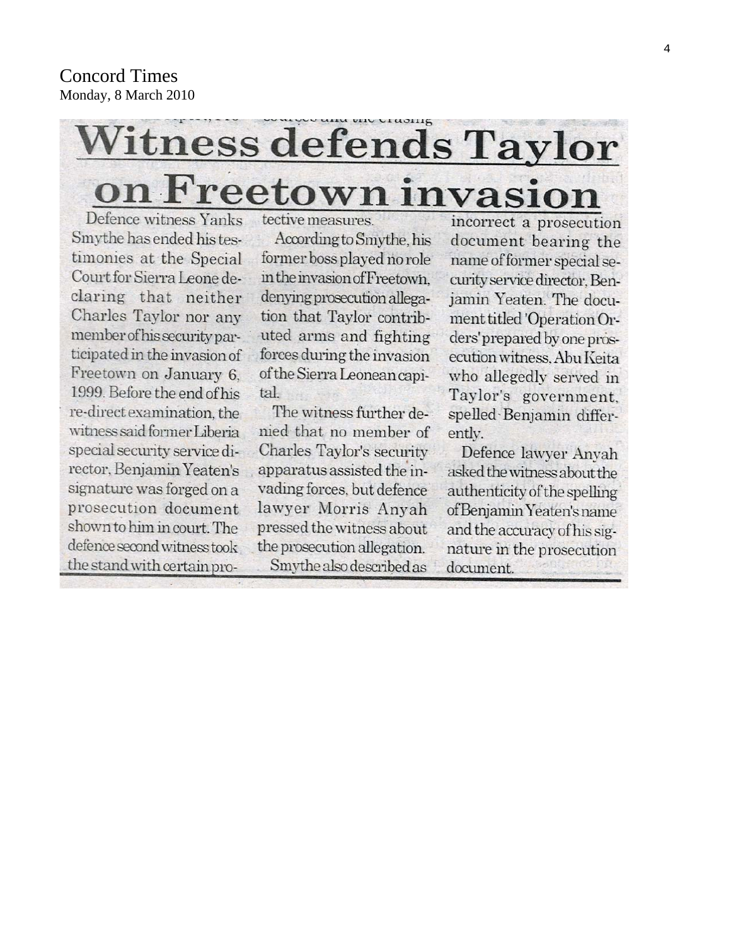# Witness defends Taylor on Freetown invasion

Defence witness Yanks Smythe has ended his testimonies at the Special Court for Sierra Leone declaring that neither Charles Taylor nor any member of his security participated in the invasion of Freetown on January 6. 1999. Before the end of his re-direct examination, the witness said former Liberia special security service director, Benjamin Yeaten's signature was forged on a prosecution document shown to him in court. The defence second witness took the stand with certain protective measures.

According to Smythe, his former boss played no role in the invasion of Freetown. denying prosecution allegation that Taylor contributed arms and fighting forces during the invasion of the Sierra Leonean capital.

The witness further denied that no member of Charles Taylor's security apparatus assisted the invading forces, but defence lawyer Morris Anyah pressed the witness about the prosecution allegation.

Smythe also described as

incorrect a prosecution document bearing the name of former special security service director, Benjamin Yeaten. The document titled 'Operation Orders' prepared by one prosecution witness, Abu Keita who allegedly served in Taylor's government, spelled Benjamin differently.

Defence lawyer Anyah asked the witness about the authenticity of the spelling of Benjamin Yeaten's name and the accuracy of his signature in the prosecution document.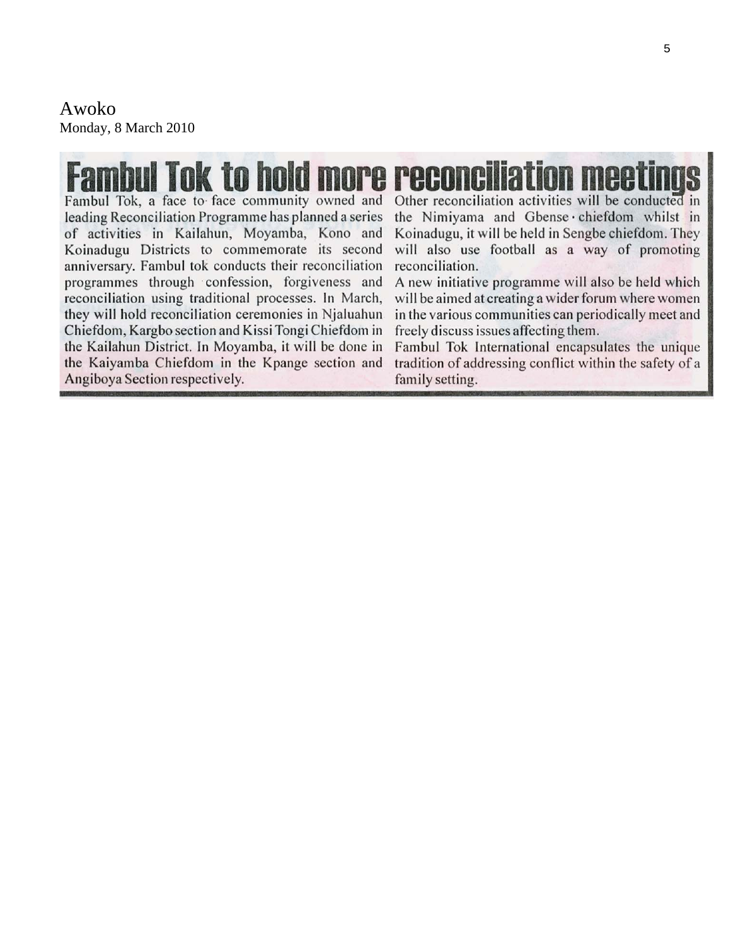Awoko Monday, 8 March 2010

# **Famhul Tok to hold m**

Fambul Tok, a face to face community owned and leading Reconciliation Programme has planned a series of activities in Kailahun, Moyamba, Kono and Koinadugu Districts to commemorate its second anniversary. Fambul tok conducts their reconciliation programmes through confession, forgiveness and reconciliation using traditional processes. In March, they will hold reconciliation ceremonies in Njaluahun Chiefdom, Kargbo section and Kissi Tongi Chiefdom in the Kailahun District. In Moyamba, it will be done in the Kaiyamba Chiefdom in the Kpange section and Angiboya Section respectively.

Other reconciliation activities will be conducted in the Nimiyama and Gbense chiefdom whilst in Koinadugu, it will be held in Sengbe chiefdom. They will also use football as a way of promoting reconciliation.

A new initiative programme will also be held which will be aimed at creating a wider forum where women in the various communities can periodically meet and freely discuss issues affecting them.

Fambul Tok International encapsulates the unique tradition of addressing conflict within the safety of a family setting.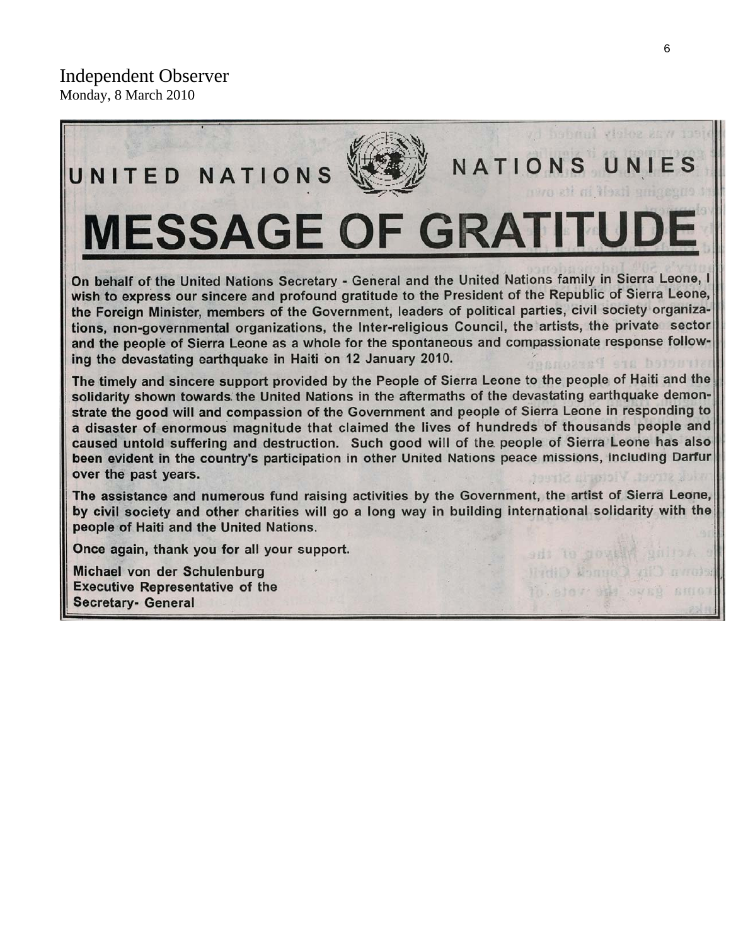

Once again, thank you for all your support.

Michael von der Schulenburg **Executive Representative of the Secretary- General** 

Return City Council City

io stor sus sved smot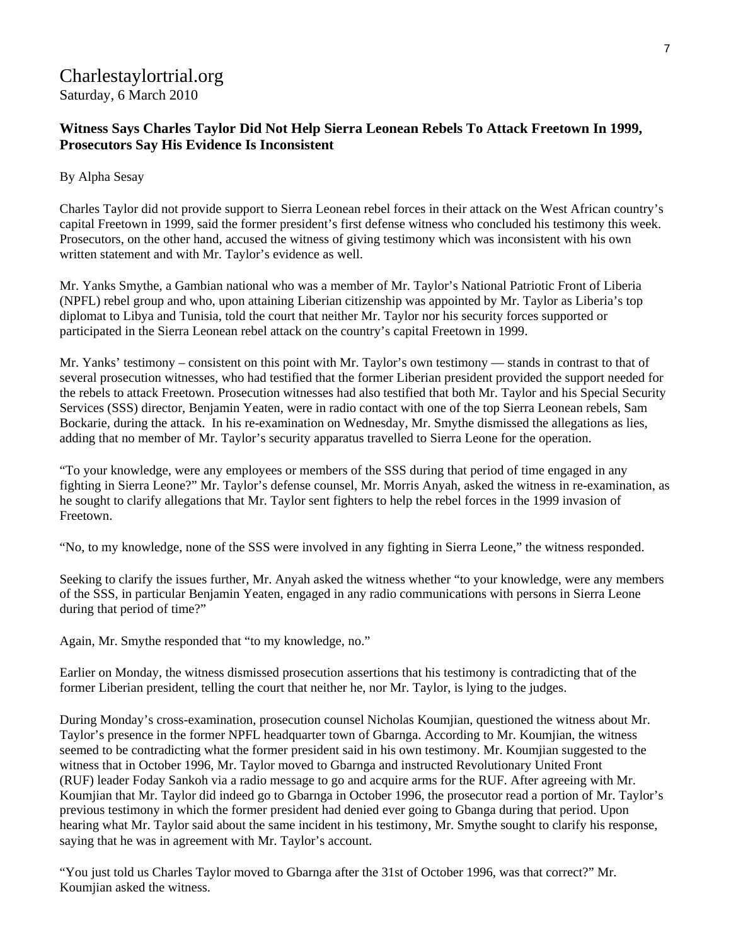## Charlestaylortrial.org Saturday, 6 March 2010

#### **[Witness Says Charles Taylor Did Not Help Sierra Leonean Rebels To Attack Freetown In 1999,](http://www.charlestaylortrial.org/2010/03/06/witness-says-charles-taylor-did-not-help-sierra-leonean-rebels-to-attack-freetown-in-1999-prosecutors-say-his-evidence-is-inconsistent/)  [Prosecutors Say His Evidence Is Inconsistent](http://www.charlestaylortrial.org/2010/03/06/witness-says-charles-taylor-did-not-help-sierra-leonean-rebels-to-attack-freetown-in-1999-prosecutors-say-his-evidence-is-inconsistent/)**

#### By Alpha Sesay

Charles Taylor did not provide support to Sierra Leonean rebel forces in their attack on the West African country's capital Freetown in 1999, said the former president's first defense witness who concluded his testimony this week. Prosecutors, on the other hand, accused the witness of giving testimony which was inconsistent with his own written statement and with Mr. Taylor's evidence as well.

Mr. Yanks Smythe, a Gambian national who was a member of Mr. Taylor's National Patriotic Front of Liberia (NPFL) rebel group and who, upon attaining Liberian citizenship was appointed by Mr. Taylor as Liberia's top diplomat to Libya and Tunisia, told the court that neither Mr. Taylor nor his security forces supported or participated in the Sierra Leonean rebel attack on the country's capital Freetown in 1999.

Mr. Yanks' testimony – consistent on this point with Mr. Taylor's own testimony — stands in contrast to that of several prosecution witnesses, who had testified that the former Liberian president provided the support needed for the rebels to attack Freetown. Prosecution witnesses had also testified that both Mr. Taylor and his Special Security Services (SSS) director, Benjamin Yeaten, were in radio contact with one of the top Sierra Leonean rebels, Sam Bockarie, during the attack. In his re-examination on Wednesday, Mr. Smythe dismissed the allegations as lies, adding that no member of Mr. Taylor's security apparatus travelled to Sierra Leone for the operation.

"To your knowledge, were any employees or members of the SSS during that period of time engaged in any fighting in Sierra Leone?" Mr. Taylor's defense counsel, Mr. Morris Anyah, asked the witness in re-examination, as he sought to clarify allegations that Mr. Taylor sent fighters to help the rebel forces in the 1999 invasion of Freetown.

"No, to my knowledge, none of the SSS were involved in any fighting in Sierra Leone," the witness responded.

Seeking to clarify the issues further, Mr. Anyah asked the witness whether "to your knowledge, were any members of the SSS, in particular Benjamin Yeaten, engaged in any radio communications with persons in Sierra Leone during that period of time?"

Again, Mr. Smythe responded that "to my knowledge, no."

Earlier on Monday, the witness dismissed prosecution assertions that his testimony is contradicting that of the former Liberian president, telling the court that neither he, nor Mr. Taylor, is lying to the judges.

During Monday's cross-examination, prosecution counsel Nicholas Koumjian, questioned the witness about Mr. Taylor's presence in the former NPFL headquarter town of Gbarnga. According to Mr. Koumjian, the witness seemed to be contradicting what the former president said in his own testimony. Mr. Koumjian suggested to the witness that in October 1996, Mr. Taylor moved to Gbarnga and instructed Revolutionary United Front (RUF) leader Foday Sankoh via a radio message to go and acquire arms for the RUF. After agreeing with Mr. Koumjian that Mr. Taylor did indeed go to Gbarnga in October 1996, the prosecutor read a portion of Mr. Taylor's previous testimony in which the former president had denied ever going to Gbanga during that period. Upon hearing what Mr. Taylor said about the same incident in his testimony, Mr. Smythe sought to clarify his response, saying that he was in agreement with Mr. Taylor's account.

"You just told us Charles Taylor moved to Gbarnga after the 31st of October 1996, was that correct?" Mr. Koumjian asked the witness.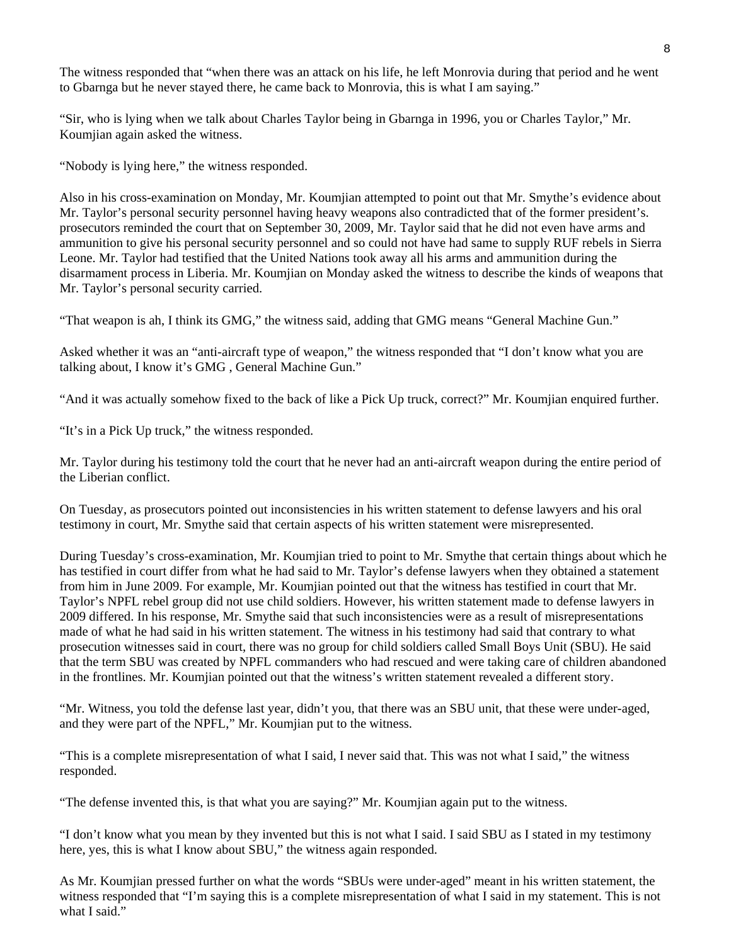The witness responded that "when there was an attack on his life, he left Monrovia during that period and he went to Gbarnga but he never stayed there, he came back to Monrovia, this is what I am saying."

"Sir, who is lying when we talk about Charles Taylor being in Gbarnga in 1996, you or Charles Taylor," Mr. Koumjian again asked the witness.

"Nobody is lying here," the witness responded.

Also in his cross-examination on Monday, Mr. Koumjian attempted to point out that Mr. Smythe's evidence about Mr. Taylor's personal security personnel having heavy weapons also contradicted that of the former president's. prosecutors reminded the court that on September 30, 2009, Mr. Taylor said that he did not even have arms and ammunition to give his personal security personnel and so could not have had same to supply RUF rebels in Sierra Leone. Mr. Taylor had testified that the United Nations took away all his arms and ammunition during the disarmament process in Liberia. Mr. Koumjian on Monday asked the witness to describe the kinds of weapons that Mr. Taylor's personal security carried.

"That weapon is ah, I think its GMG," the witness said, adding that GMG means "General Machine Gun."

Asked whether it was an "anti-aircraft type of weapon," the witness responded that "I don't know what you are talking about, I know it's GMG , General Machine Gun."

"And it was actually somehow fixed to the back of like a Pick Up truck, correct?" Mr. Koumjian enquired further.

"It's in a Pick Up truck," the witness responded.

Mr. Taylor during his testimony told the court that he never had an anti-aircraft weapon during the entire period of the Liberian conflict.

On Tuesday, as prosecutors pointed out inconsistencies in his written statement to defense lawyers and his oral testimony in court, Mr. Smythe said that certain aspects of his written statement were misrepresented.

During Tuesday's cross-examination, Mr. Koumjian tried to point to Mr. Smythe that certain things about which he has testified in court differ from what he had said to Mr. Taylor's defense lawyers when they obtained a statement from him in June 2009. For example, Mr. Koumjian pointed out that the witness has testified in court that Mr. Taylor's NPFL rebel group did not use child soldiers. However, his written statement made to defense lawyers in 2009 differed. In his response, Mr. Smythe said that such inconsistencies were as a result of misrepresentations made of what he had said in his written statement. The witness in his testimony had said that contrary to what prosecution witnesses said in court, there was no group for child soldiers called Small Boys Unit (SBU). He said that the term SBU was created by NPFL commanders who had rescued and were taking care of children abandoned in the frontlines. Mr. Koumjian pointed out that the witness's written statement revealed a different story.

"Mr. Witness, you told the defense last year, didn't you, that there was an SBU unit, that these were under-aged, and they were part of the NPFL," Mr. Koumjian put to the witness.

"This is a complete misrepresentation of what I said, I never said that. This was not what I said," the witness responded.

"The defense invented this, is that what you are saying?" Mr. Koumjian again put to the witness.

"I don't know what you mean by they invented but this is not what I said. I said SBU as I stated in my testimony here, yes, this is what I know about SBU," the witness again responded.

As Mr. Koumjian pressed further on what the words "SBUs were under-aged" meant in his written statement, the witness responded that "I'm saying this is a complete misrepresentation of what I said in my statement. This is not what I said."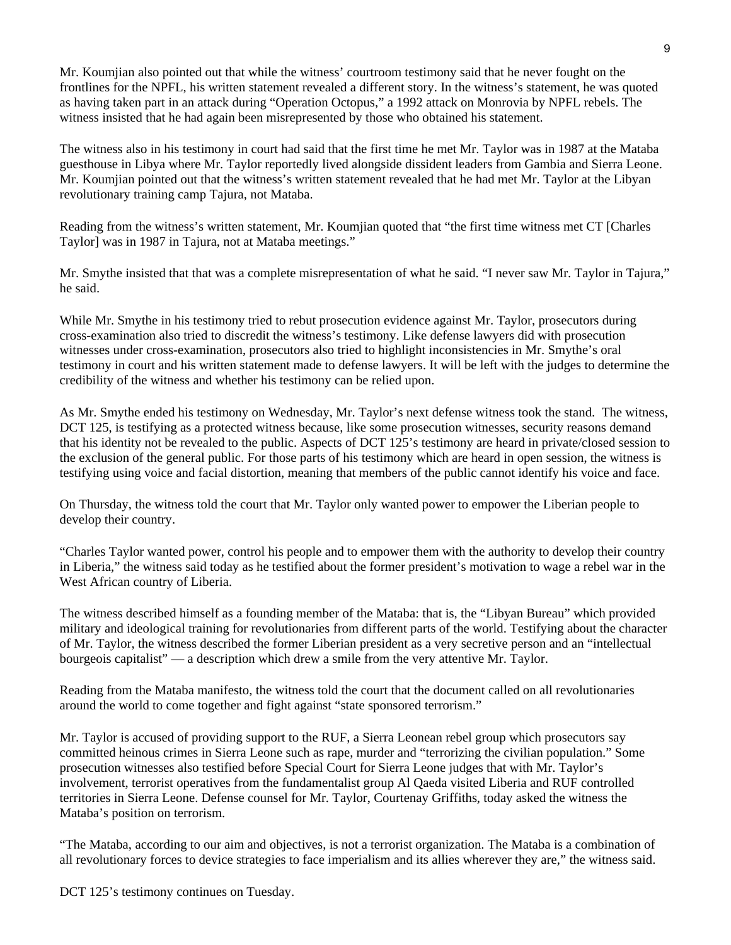Mr. Koumjian also pointed out that while the witness' courtroom testimony said that he never fought on the frontlines for the NPFL, his written statement revealed a different story. In the witness's statement, he was quoted as having taken part in an attack during "Operation Octopus," a 1992 attack on Monrovia by NPFL rebels. The witness insisted that he had again been misrepresented by those who obtained his statement.

9

The witness also in his testimony in court had said that the first time he met Mr. Taylor was in 1987 at the Mataba guesthouse in Libya where Mr. Taylor reportedly lived alongside dissident leaders from Gambia and Sierra Leone. Mr. Koumjian pointed out that the witness's written statement revealed that he had met Mr. Taylor at the Libyan revolutionary training camp Tajura, not Mataba.

Reading from the witness's written statement, Mr. Koumjian quoted that "the first time witness met CT [Charles Taylor] was in 1987 in Tajura, not at Mataba meetings."

Mr. Smythe insisted that that was a complete misrepresentation of what he said. "I never saw Mr. Taylor in Tajura," he said.

While Mr. Smythe in his testimony tried to rebut prosecution evidence against Mr. Taylor, prosecutors during cross-examination also tried to discredit the witness's testimony. Like defense lawyers did with prosecution witnesses under cross-examination, prosecutors also tried to highlight inconsistencies in Mr. Smythe's oral testimony in court and his written statement made to defense lawyers. It will be left with the judges to determine the credibility of the witness and whether his testimony can be relied upon.

As Mr. Smythe ended his testimony on Wednesday, Mr. Taylor's next defense witness took the stand. The witness, DCT 125, is testifying as a protected witness because, like some prosecution witnesses, security reasons demand that his identity not be revealed to the public. Aspects of DCT 125's testimony are heard in private/closed session to the exclusion of the general public. For those parts of his testimony which are heard in open session, the witness is testifying using voice and facial distortion, meaning that members of the public cannot identify his voice and face.

On Thursday, the witness told the court that Mr. Taylor only wanted power to empower the Liberian people to develop their country.

"Charles Taylor wanted power, control his people and to empower them with the authority to develop their country in Liberia," the witness said today as he testified about the former president's motivation to wage a rebel war in the West African country of Liberia.

The witness described himself as a founding member of the Mataba: that is, the "Libyan Bureau" which provided military and ideological training for revolutionaries from different parts of the world. Testifying about the character of Mr. Taylor, the witness described the former Liberian president as a very secretive person and an "intellectual bourgeois capitalist" — a description which drew a smile from the very attentive Mr. Taylor.

Reading from the Mataba manifesto, the witness told the court that the document called on all revolutionaries around the world to come together and fight against "state sponsored terrorism."

Mr. Taylor is accused of providing support to the RUF, a Sierra Leonean rebel group which prosecutors say committed heinous crimes in Sierra Leone such as rape, murder and "terrorizing the civilian population." Some prosecution witnesses also testified before Special Court for Sierra Leone judges that with Mr. Taylor's involvement, terrorist operatives from the fundamentalist group Al Qaeda visited Liberia and RUF controlled territories in Sierra Leone. Defense counsel for Mr. Taylor, Courtenay Griffiths, today asked the witness the Mataba's position on terrorism.

"The Mataba, according to our aim and objectives, is not a terrorist organization. The Mataba is a combination of all revolutionary forces to device strategies to face imperialism and its allies wherever they are," the witness said.

DCT 125's testimony continues on Tuesday.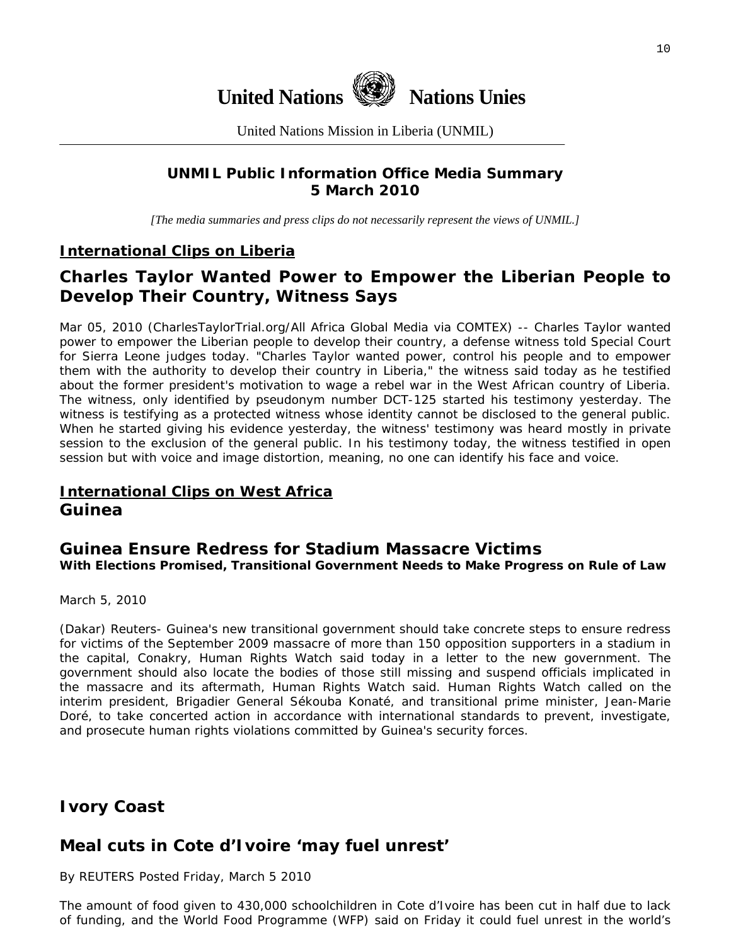

United Nations Mission in Liberia (UNMIL)

## **UNMIL Public Information Office Media Summary 5 March 2010**

*[The media summaries and press clips do not necessarily represent the views of UNMIL.]* 

## **International Clips on Liberia**

## **Charles Taylor Wanted Power to Empower the Liberian People to Develop Their Country, Witness Says**

Mar 05, 2010 (CharlesTaylorTrial.org/All Africa Global Media via COMTEX) -- Charles Taylor wanted power to empower the Liberian people to develop their country, a defense witness told Special Court for Sierra Leone judges today. "Charles Taylor wanted power, control his people and to empower them with the authority to develop their country in Liberia," the witness said today as he testified about the former president's motivation to wage a rebel war in the West African country of Liberia. The witness, only identified by pseudonym number DCT-125 started his testimony yesterday. The witness is testifying as a protected witness whose identity cannot be disclosed to the general public. When he started giving his evidence yesterday, the witness' testimony was heard mostly in private session to the exclusion of the general public. In his testimony today, the witness testified in open session but with voice and image distortion, meaning, no one can identify his face and voice.

## **International Clips on West Africa Guinea**

#### **Guinea Ensure Redress for Stadium Massacre Victims With Elections Promised, Transitional Government Needs to Make Progress on Rule of Law**

March 5, 2010

(Dakar) Reuters- Guinea's new transitional government should take concrete steps to ensure redress for victims of the September 2009 massacre of more than 150 opposition supporters in a stadium in the capital, Conakry, Human Rights Watch said today in a letter to the new government. The government should also locate the bodies of those still missing and suspend officials implicated in the massacre and its aftermath, Human Rights Watch said. Human Rights Watch called on the interim president, Brigadier General Sékouba Konaté, and transitional prime minister, Jean-Marie Doré, to take concerted action in accordance with international standards to prevent, investigate, and prosecute human rights violations committed by Guinea's security forces.

## **Ivory Coast**

## **Meal cuts in Cote d'Ivoire 'may fuel unrest'**

By REUTERS Posted Friday, March 5 2010

The amount of food given to 430,000 schoolchildren in Cote d'Ivoire has been cut in half due to lack of funding, and the World Food Programme (WFP) said on Friday it could fuel unrest in the world's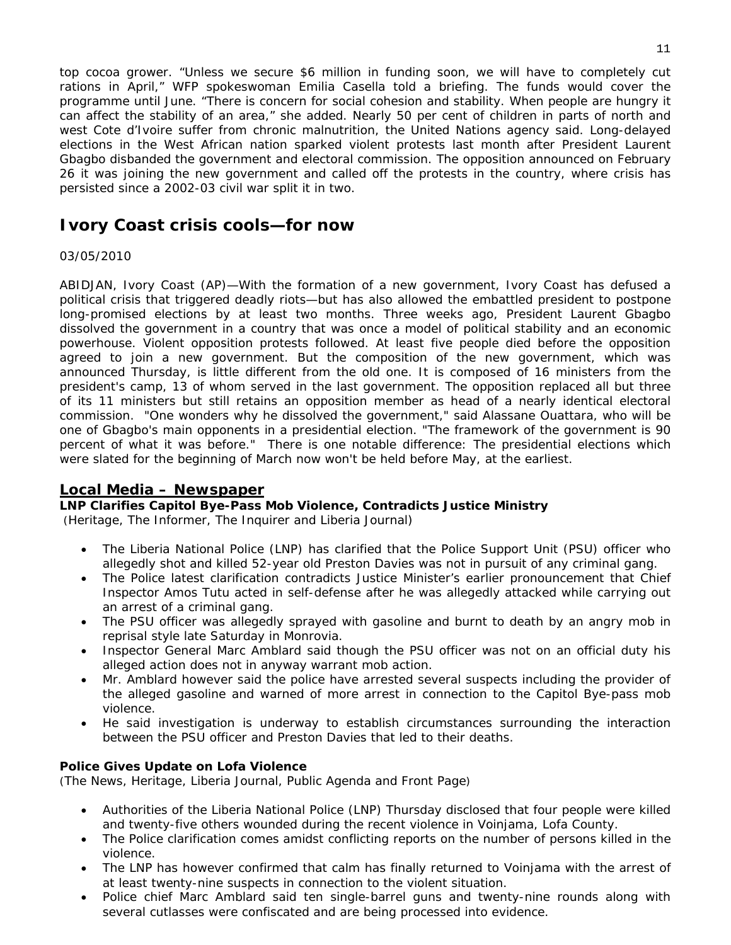top cocoa grower. "Unless we secure \$6 million in funding soon, we will have to completely cut rations in April," WFP spokeswoman Emilia Casella told a briefing. The funds would cover the programme until June. "There is concern for social cohesion and stability. When people are hungry it can affect the stability of an area," she added. Nearly 50 per cent of children in parts of north and west Cote d'Ivoire suffer from chronic malnutrition, the United Nations agency said. Long-delayed elections in the West African nation sparked violent protests last month after President Laurent Gbagbo disbanded the government and electoral commission. The opposition announced on February 26 it was joining the new government and called off the protests in the country, where crisis has persisted since a 2002-03 civil war split it in two.

## **Ivory Coast crisis cools—for now**

#### 03/05/2010

ABIDJAN, Ivory Coast (AP)—With the formation of a new government, Ivory Coast has defused a political crisis that triggered deadly riots—but has also allowed the embattled president to postpone long-promised elections by at least two months. Three weeks ago, President Laurent Gbagbo dissolved the government in a country that was once a model of political stability and an economic powerhouse. Violent opposition protests followed. At least five people died before the opposition agreed to join a new government. But the composition of the new government, which was announced Thursday, is little different from the old one. It is composed of 16 ministers from the president's camp, 13 of whom served in the last government. The opposition replaced all but three of its 11 ministers but still retains an opposition member as head of a nearly identical electoral commission. "One wonders why he dissolved the government," said Alassane Ouattara, who will be one of Gbagbo's main opponents in a presidential election. "The framework of the government is 90 percent of what it was before." There is one notable difference: The presidential elections which were slated for the beginning of March now won't be held before May, at the earliest.

#### **Local Media – Newspaper**

#### **LNP Clarifies Capitol Bye-Pass Mob Violence, Contradicts Justice Ministry**

(Heritage, The Informer, The Inquirer and Liberia Journal)

- The Liberia National Police (LNP) has clarified that the Police Support Unit (PSU) officer who allegedly shot and killed 52-year old Preston Davies was not in pursuit of any criminal gang.
- The Police latest clarification contradicts Justice Minister's earlier pronouncement that Chief Inspector Amos Tutu acted in self-defense after he was allegedly attacked while carrying out an arrest of a criminal gang.
- The PSU officer was allegedly sprayed with gasoline and burnt to death by an angry mob in reprisal style late Saturday in Monrovia.
- Inspector General Marc Amblard said though the PSU officer was not on an official duty his alleged action does not in anyway warrant mob action.
- Mr. Amblard however said the police have arrested several suspects including the provider of the alleged gasoline and warned of more arrest in connection to the Capitol Bye-pass mob violence.
- He said investigation is underway to establish circumstances surrounding the interaction between the PSU officer and Preston Davies that led to their deaths.

#### **Police Gives Update on Lofa Violence**

(The News, Heritage, Liberia Journal, Public Agenda and Front Page)

- Authorities of the Liberia National Police (LNP) Thursday disclosed that four people were killed and twenty-five others wounded during the recent violence in Voinjama, Lofa County.
- The Police clarification comes amidst conflicting reports on the number of persons killed in the violence.
- The LNP has however confirmed that calm has finally returned to Voinjama with the arrest of at least twenty-nine suspects in connection to the violent situation.
- Police chief Marc Amblard said ten single-barrel guns and twenty-nine rounds along with several cutlasses were confiscated and are being processed into evidence.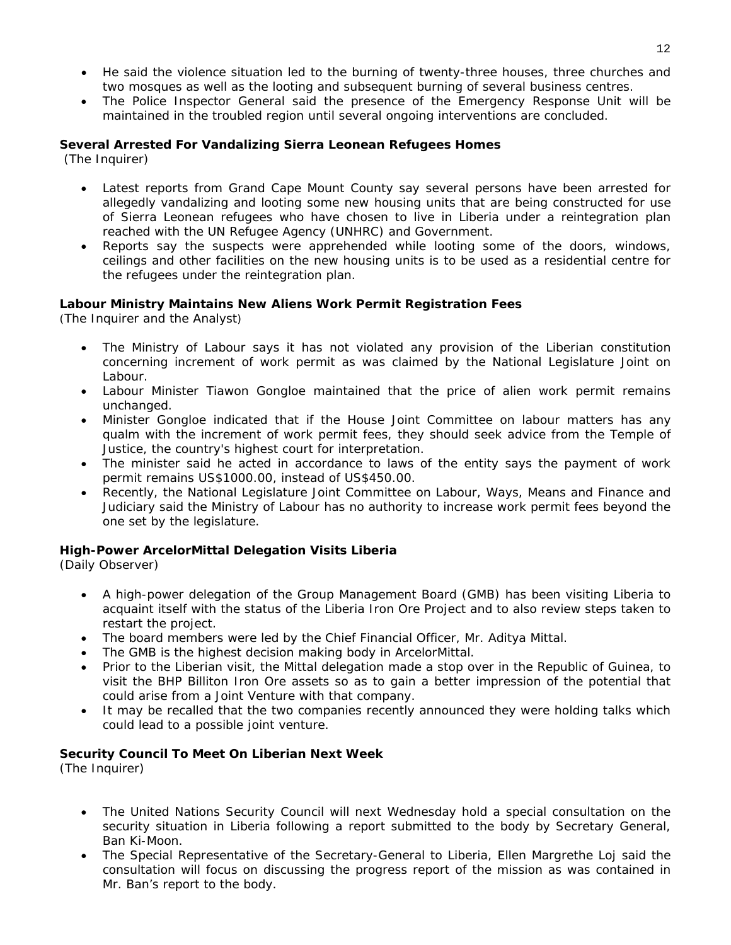- He said the violence situation led to the burning of twenty-three houses, three churches and two mosques as well as the looting and subsequent burning of several business centres.
- The Police Inspector General said the presence of the Emergency Response Unit will be maintained in the troubled region until several ongoing interventions are concluded.

#### **Several Arrested For Vandalizing Sierra Leonean Refugees Homes**

(The Inquirer)

- Latest reports from Grand Cape Mount County say several persons have been arrested for allegedly vandalizing and looting some new housing units that are being constructed for use of Sierra Leonean refugees who have chosen to live in Liberia under a reintegration plan reached with the UN Refugee Agency (UNHRC) and Government.
- Reports say the suspects were apprehended while looting some of the doors, windows, ceilings and other facilities on the new housing units is to be used as a residential centre for the refugees under the reintegration plan.

#### **Labour Ministry Maintains New Aliens Work Permit Registration Fees**

(The Inquirer and the Analyst)

- The Ministry of Labour says it has not violated any provision of the Liberian constitution concerning increment of work permit as was claimed by the National Legislature Joint on Labour.
- Labour Minister Tiawon Gongloe maintained that the price of alien work permit remains unchanged.
- Minister Gongloe indicated that if the House Joint Committee on labour matters has any qualm with the increment of work permit fees, they should seek advice from the Temple of Justice, the country's highest court for interpretation.
- The minister said he acted in accordance to laws of the entity says the payment of work permit remains US\$1000.00, instead of US\$450.00.
- Recently, the National Legislature Joint Committee on Labour, Ways, Means and Finance and Judiciary said the Ministry of Labour has no authority to increase work permit fees beyond the one set by the legislature.

#### **High-Power ArcelorMittal Delegation Visits Liberia**

(Daily Observer)

- A high-power delegation of the Group Management Board (GMB) has been visiting Liberia to acquaint itself with the status of the Liberia Iron Ore Project and to also review steps taken to restart the project.
- The board members were led by the Chief Financial Officer, Mr. Aditya Mittal.
- The GMB is the highest decision making body in ArcelorMittal.
- Prior to the Liberian visit, the Mittal delegation made a stop over in the Republic of Guinea, to visit the BHP Billiton Iron Ore assets so as to gain a better impression of the potential that could arise from a Joint Venture with that company.
- It may be recalled that the two companies recently announced they were holding talks which could lead to a possible joint venture.

#### **Security Council To Meet On Liberian Next Week**

(The Inquirer)

- The United Nations Security Council will next Wednesday hold a special consultation on the security situation in Liberia following a report submitted to the body by Secretary General, Ban Ki-Moon.
- The Special Representative of the Secretary-General to Liberia, Ellen Margrethe Loj said the consultation will focus on discussing the progress report of the mission as was contained in Mr. Ban's report to the body.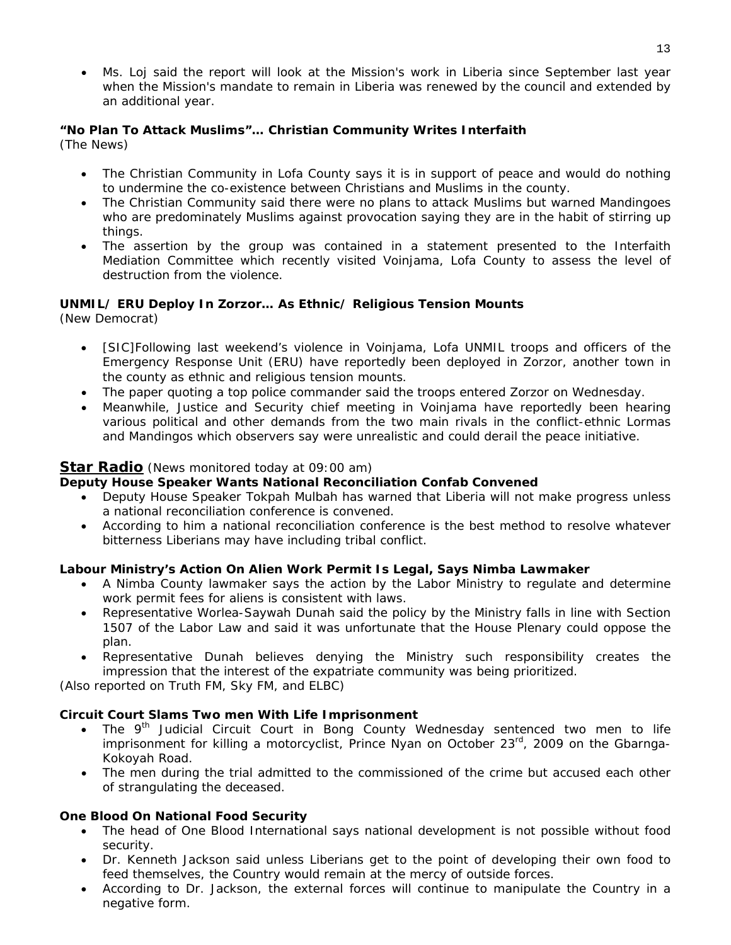• Ms. Loj said the report will look at the Mission's work in Liberia since September last year when the Mission's mandate to remain in Liberia was renewed by the council and extended by an additional year.

#### **"No Plan To Attack Muslims"… Christian Community Writes Interfaith**  (The News)

• The Christian Community in Lofa County says it is in support of peace and would do nothing to undermine the co-existence between Christians and Muslims in the county.

- The Christian Community said there were no plans to attack Muslims but warned Mandingoes who are predominately Muslims against provocation saying they are in the habit of stirring up things.
- The assertion by the group was contained in a statement presented to the Interfaith Mediation Committee which recently visited Voinjama, Lofa County to assess the level of destruction from the violence.

#### **UNMIL/ ERU Deploy In Zorzor… As Ethnic/ Religious Tension Mounts**

(New Democrat)

- [SIC]Following last weekend's violence in Voinjama, Lofa UNMIL troops and officers of the Emergency Response Unit (ERU) have reportedly been deployed in Zorzor, another town in the county as ethnic and religious tension mounts.
- The paper quoting a top police commander said the troops entered Zorzor on Wednesday.
- Meanwhile, Justice and Security chief meeting in Voinjama have reportedly been hearing various political and other demands from the two main rivals in the conflict-ethnic Lormas and Mandingos which observers say were unrealistic and could derail the peace initiative.

#### **Star Radio** *(News monitored today at 09:00 am)*

#### **Deputy House Speaker Wants National Reconciliation Confab Convened**

- Deputy House Speaker Tokpah Mulbah has warned that Liberia will not make progress unless a national reconciliation conference is convened.
- According to him a national reconciliation conference is the best method to resolve whatever bitterness Liberians may have including tribal conflict.

#### **Labour Ministry's Action On Alien Work Permit Is Legal, Says Nimba Lawmaker**

- A Nimba County lawmaker says the action by the Labor Ministry to regulate and determine work permit fees for aliens is consistent with laws.
- Representative Worlea-Saywah Dunah said the policy by the Ministry falls in line with Section 1507 of the Labor Law and said it was unfortunate that the House Plenary could oppose the plan.
- Representative Dunah believes denying the Ministry such responsibility creates the impression that the interest of the expatriate community was being prioritized.

*(Also reported on Truth FM, Sky FM, and ELBC)*

#### **Circuit Court Slams Two men With Life Imprisonment**

- The  $9<sup>th</sup>$  Judicial Circuit Court in Bong County Wednesday sentenced two men to life imprisonment for killing a motorcyclist, Prince Nyan on October 23<sup>rd</sup>, 2009 on the Gbarnga-Kokoyah Road.
- The men during the trial admitted to the commissioned of the crime but accused each other of strangulating the deceased.

#### **One Blood On National Food Security**

- The head of One Blood International says national development is not possible without food security.
- Dr. Kenneth Jackson said unless Liberians get to the point of developing their own food to feed themselves, the Country would remain at the mercy of outside forces.
- According to Dr. Jackson, the external forces will continue to manipulate the Country in a negative form.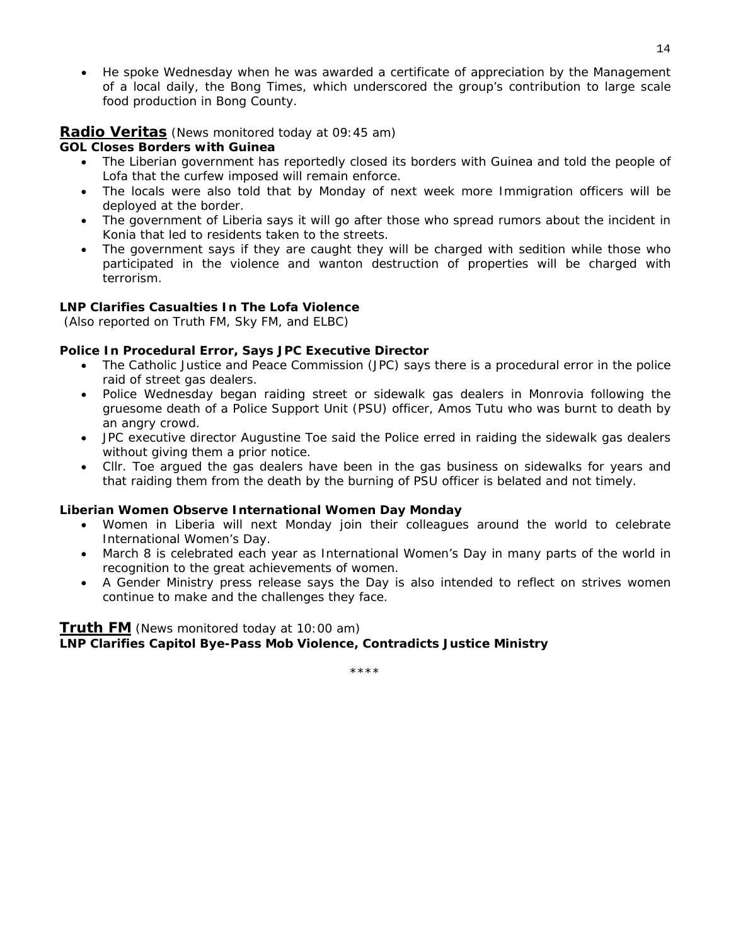• He spoke Wednesday when he was awarded a certificate of appreciation by the Management of a local daily, the Bong Times, which underscored the group's contribution to large scale food production in Bong County.

#### **Radio Veritas** *(News monitored today at 09:45 am)*

#### **GOL Closes Borders with Guinea**

- The Liberian government has reportedly closed its borders with Guinea and told the people of Lofa that the curfew imposed will remain enforce.
- The locals were also told that by Monday of next week more Immigration officers will be deployed at the border.
- The government of Liberia says it will go after those who spread rumors about the incident in Konia that led to residents taken to the streets.
- The government says if they are caught they will be charged with sedition while those who participated in the violence and wanton destruction of properties will be charged with terrorism.

#### **LNP Clarifies Casualties In The Lofa Violence**

 *(Also reported on Truth FM, Sky FM, and ELBC)*

#### **Police In Procedural Error, Says JPC Executive Director**

- The Catholic Justice and Peace Commission (JPC) says there is a procedural error in the police raid of street gas dealers.
- Police Wednesday began raiding street or sidewalk gas dealers in Monrovia following the gruesome death of a Police Support Unit (PSU) officer, Amos Tutu who was burnt to death by an angry crowd.
- JPC executive director Augustine Toe said the Police erred in raiding the sidewalk gas dealers without giving them a prior notice.
- Cllr. Toe argued the gas dealers have been in the gas business on sidewalks for years and that raiding them from the death by the burning of PSU officer is belated and not timely.

#### **Liberian Women Observe International Women Day Monday**

- Women in Liberia will next Monday join their colleagues around the world to celebrate International Women's Day.
- March 8 is celebrated each year as International Women's Day in many parts of the world in recognition to the great achievements of women.
- A Gender Ministry press release says the Day is also intended to reflect on strives women continue to make and the challenges they face.

#### **Truth FM** *(News monitored today at 10:00 am)* **LNP Clarifies Capitol Bye-Pass Mob Violence, Contradicts Justice Ministry**

\*\*\*\*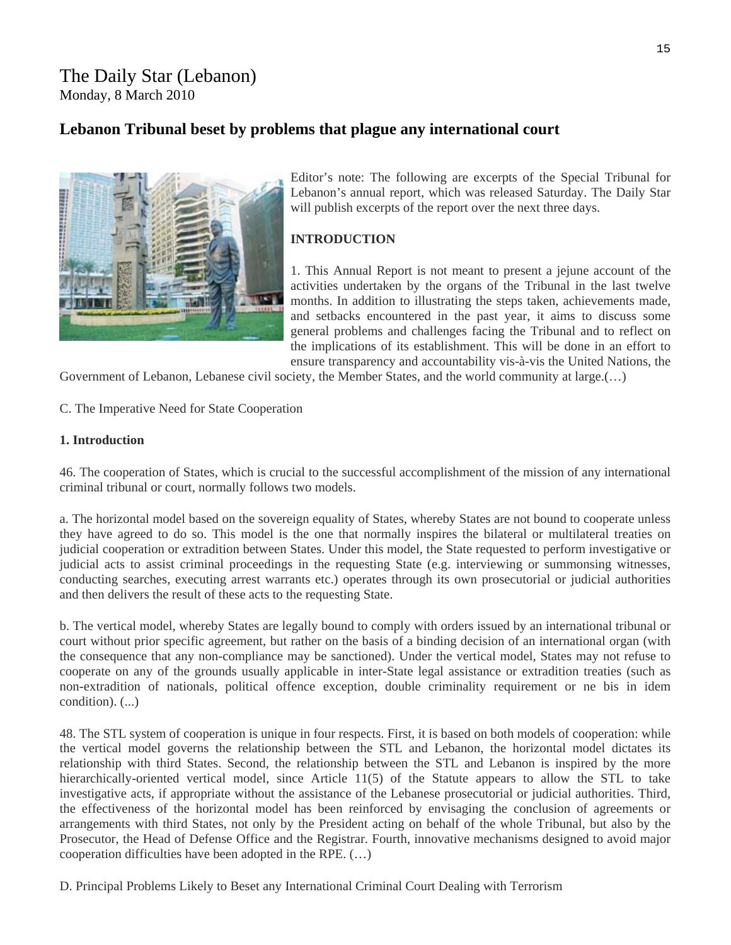## The Daily Star (Lebanon) Monday, 8 March 2010

## **Lebanon Tribunal beset by problems that plague any international court**



Editor's note: The following are excerpts of the Special Tribunal for Lebanon's annual report, which was released Saturday. The Daily Star will publish excerpts of the report over the next three days.

#### **INTRODUCTION**

1. This Annual Report is not meant to present a jejune account of the activities undertaken by the organs of the Tribunal in the last twelve months. In addition to illustrating the steps taken, achievements made, and setbacks encountered in the past year, it aims to discuss some general problems and challenges facing the Tribunal and to reflect on the implications of its establishment. This will be done in an effort to ensure transparency and accountability vis-à-vis the United Nations, the

Government of Lebanon, Lebanese civil society, the Member States, and the world community at large.(…)

C. The Imperative Need for State Cooperation

#### **1. Introduction**

46. The cooperation of States, which is crucial to the successful accomplishment of the mission of any international criminal tribunal or court, normally follows two models.

a. The horizontal model based on the sovereign equality of States, whereby States are not bound to cooperate unless they have agreed to do so. This model is the one that normally inspires the bilateral or multilateral treaties on judicial cooperation or extradition between States. Under this model, the State requested to perform investigative or judicial acts to assist criminal proceedings in the requesting State (e.g. interviewing or summonsing witnesses, conducting searches, executing arrest warrants etc.) operates through its own prosecutorial or judicial authorities and then delivers the result of these acts to the requesting State.

b. The vertical model, whereby States are legally bound to comply with orders issued by an international tribunal or court without prior specific agreement, but rather on the basis of a binding decision of an international organ (with the consequence that any non-compliance may be sanctioned). Under the vertical model, States may not refuse to cooperate on any of the grounds usually applicable in inter-State legal assistance or extradition treaties (such as non-extradition of nationals, political offence exception, double criminality requirement or ne bis in idem condition). (...)

48. The STL system of cooperation is unique in four respects. First, it is based on both models of cooperation: while the vertical model governs the relationship between the STL and Lebanon, the horizontal model dictates its relationship with third States. Second, the relationship between the STL and Lebanon is inspired by the more hierarchically-oriented vertical model, since Article 11(5) of the Statute appears to allow the STL to take investigative acts, if appropriate without the assistance of the Lebanese prosecutorial or judicial authorities. Third, the effectiveness of the horizontal model has been reinforced by envisaging the conclusion of agreements or arrangements with third States, not only by the President acting on behalf of the whole Tribunal, but also by the Prosecutor, the Head of Defense Office and the Registrar. Fourth, innovative mechanisms designed to avoid major cooperation difficulties have been adopted in the RPE. (…)

D. Principal Problems Likely to Beset any International Criminal Court Dealing with Terrorism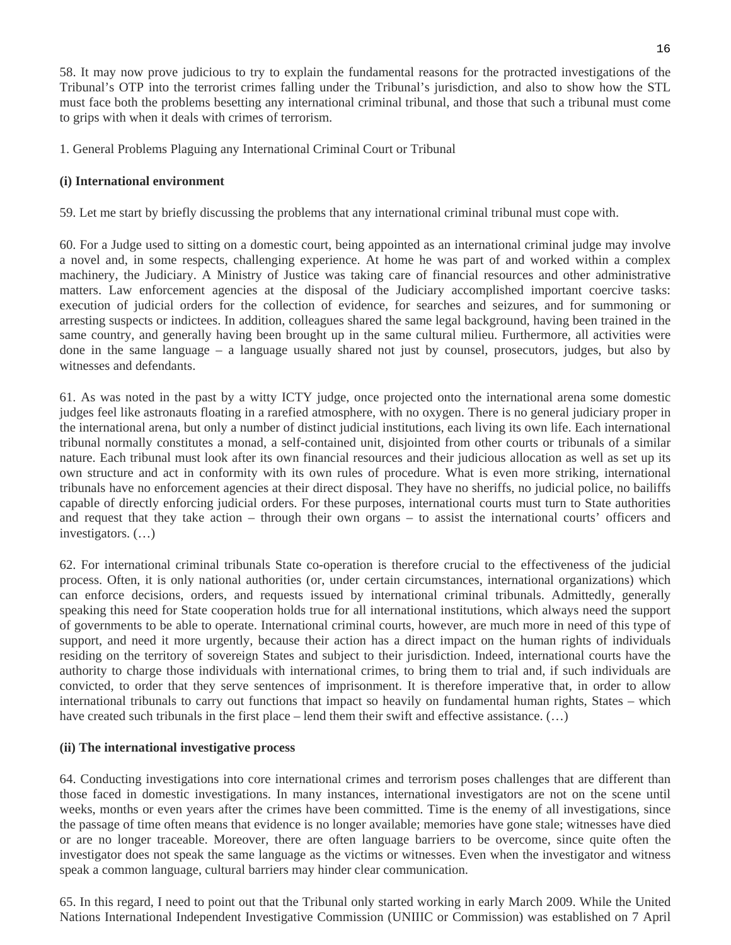58. It may now prove judicious to try to explain the fundamental reasons for the protracted investigations of the Tribunal's OTP into the terrorist crimes falling under the Tribunal's jurisdiction, and also to show how the STL must face both the problems besetting any international criminal tribunal, and those that such a tribunal must come to grips with when it deals with crimes of terrorism.

1. General Problems Plaguing any International Criminal Court or Tribunal

#### **(i) International environment**

59. Let me start by briefly discussing the problems that any international criminal tribunal must cope with.

60. For a Judge used to sitting on a domestic court, being appointed as an international criminal judge may involve a novel and, in some respects, challenging experience. At home he was part of and worked within a complex machinery, the Judiciary. A Ministry of Justice was taking care of financial resources and other administrative matters. Law enforcement agencies at the disposal of the Judiciary accomplished important coercive tasks: execution of judicial orders for the collection of evidence, for searches and seizures, and for summoning or arresting suspects or indictees. In addition, colleagues shared the same legal background, having been trained in the same country, and generally having been brought up in the same cultural milieu. Furthermore, all activities were done in the same language – a language usually shared not just by counsel, prosecutors, judges, but also by witnesses and defendants.

61. As was noted in the past by a witty ICTY judge, once projected onto the international arena some domestic judges feel like astronauts floating in a rarefied atmosphere, with no oxygen. There is no general judiciary proper in the international arena, but only a number of distinct judicial institutions, each living its own life. Each international tribunal normally constitutes a monad, a self-contained unit, disjointed from other courts or tribunals of a similar nature. Each tribunal must look after its own financial resources and their judicious allocation as well as set up its own structure and act in conformity with its own rules of procedure. What is even more striking, international tribunals have no enforcement agencies at their direct disposal. They have no sheriffs, no judicial police, no bailiffs capable of directly enforcing judicial orders. For these purposes, international courts must turn to State authorities and request that they take action – through their own organs – to assist the international courts' officers and investigators. (…)

62. For international criminal tribunals State co-operation is therefore crucial to the effectiveness of the judicial process. Often, it is only national authorities (or, under certain circumstances, international organizations) which can enforce decisions, orders, and requests issued by international criminal tribunals. Admittedly, generally speaking this need for State cooperation holds true for all international institutions, which always need the support of governments to be able to operate. International criminal courts, however, are much more in need of this type of support, and need it more urgently, because their action has a direct impact on the human rights of individuals residing on the territory of sovereign States and subject to their jurisdiction. Indeed, international courts have the authority to charge those individuals with international crimes, to bring them to trial and, if such individuals are convicted, to order that they serve sentences of imprisonment. It is therefore imperative that, in order to allow international tribunals to carry out functions that impact so heavily on fundamental human rights, States – which have created such tribunals in the first place – lend them their swift and effective assistance. (...)

#### **(ii) The international investigative process**

64. Conducting investigations into core international crimes and terrorism poses challenges that are different than those faced in domestic investigations. In many instances, international investigators are not on the scene until weeks, months or even years after the crimes have been committed. Time is the enemy of all investigations, since the passage of time often means that evidence is no longer available; memories have gone stale; witnesses have died or are no longer traceable. Moreover, there are often language barriers to be overcome, since quite often the investigator does not speak the same language as the victims or witnesses. Even when the investigator and witness speak a common language, cultural barriers may hinder clear communication.

65. In this regard, I need to point out that the Tribunal only started working in early March 2009. While the United Nations International Independent Investigative Commission (UNIIIC or Commission) was established on 7 April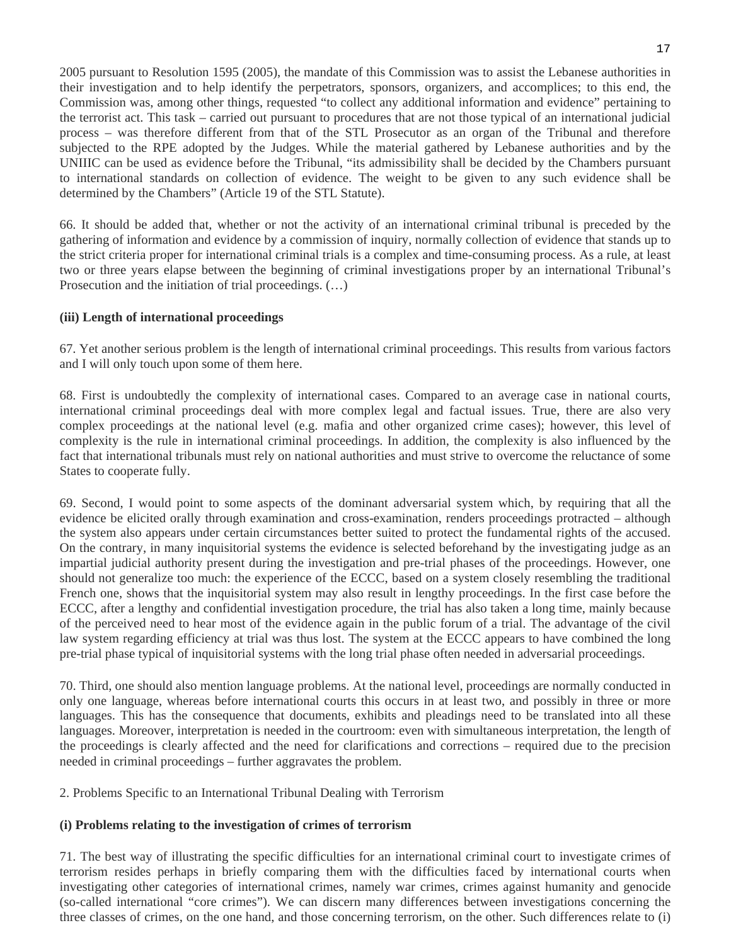2005 pursuant to Resolution 1595 (2005), the mandate of this Commission was to assist the Lebanese authorities in their investigation and to help identify the perpetrators, sponsors, organizers, and accomplices; to this end, the Commission was, among other things, requested "to collect any additional information and evidence" pertaining to the terrorist act. This task – carried out pursuant to procedures that are not those typical of an international judicial process – was therefore different from that of the STL Prosecutor as an organ of the Tribunal and therefore subjected to the RPE adopted by the Judges. While the material gathered by Lebanese authorities and by the UNIIIC can be used as evidence before the Tribunal, "its admissibility shall be decided by the Chambers pursuant to international standards on collection of evidence. The weight to be given to any such evidence shall be determined by the Chambers" (Article 19 of the STL Statute).

66. It should be added that, whether or not the activity of an international criminal tribunal is preceded by the gathering of information and evidence by a commission of inquiry, normally collection of evidence that stands up to the strict criteria proper for international criminal trials is a complex and time-consuming process. As a rule, at least two or three years elapse between the beginning of criminal investigations proper by an international Tribunal's Prosecution and the initiation of trial proceedings. (…)

#### **(iii) Length of international proceedings**

67. Yet another serious problem is the length of international criminal proceedings. This results from various factors and I will only touch upon some of them here.

68. First is undoubtedly the complexity of international cases. Compared to an average case in national courts, international criminal proceedings deal with more complex legal and factual issues. True, there are also very complex proceedings at the national level (e.g. mafia and other organized crime cases); however, this level of complexity is the rule in international criminal proceedings. In addition, the complexity is also influenced by the fact that international tribunals must rely on national authorities and must strive to overcome the reluctance of some States to cooperate fully.

69. Second, I would point to some aspects of the dominant adversarial system which, by requiring that all the evidence be elicited orally through examination and cross-examination, renders proceedings protracted – although the system also appears under certain circumstances better suited to protect the fundamental rights of the accused. On the contrary, in many inquisitorial systems the evidence is selected beforehand by the investigating judge as an impartial judicial authority present during the investigation and pre-trial phases of the proceedings. However, one should not generalize too much: the experience of the ECCC, based on a system closely resembling the traditional French one, shows that the inquisitorial system may also result in lengthy proceedings. In the first case before the ECCC, after a lengthy and confidential investigation procedure, the trial has also taken a long time, mainly because of the perceived need to hear most of the evidence again in the public forum of a trial. The advantage of the civil law system regarding efficiency at trial was thus lost. The system at the ECCC appears to have combined the long pre-trial phase typical of inquisitorial systems with the long trial phase often needed in adversarial proceedings.

70. Third, one should also mention language problems. At the national level, proceedings are normally conducted in only one language, whereas before international courts this occurs in at least two, and possibly in three or more languages. This has the consequence that documents, exhibits and pleadings need to be translated into all these languages. Moreover, interpretation is needed in the courtroom: even with simultaneous interpretation, the length of the proceedings is clearly affected and the need for clarifications and corrections – required due to the precision needed in criminal proceedings – further aggravates the problem.

2. Problems Specific to an International Tribunal Dealing with Terrorism

#### **(i) Problems relating to the investigation of crimes of terrorism**

71. The best way of illustrating the specific difficulties for an international criminal court to investigate crimes of terrorism resides perhaps in briefly comparing them with the difficulties faced by international courts when investigating other categories of international crimes, namely war crimes, crimes against humanity and genocide (so-called international "core crimes"). We can discern many differences between investigations concerning the three classes of crimes, on the one hand, and those concerning terrorism, on the other. Such differences relate to (i)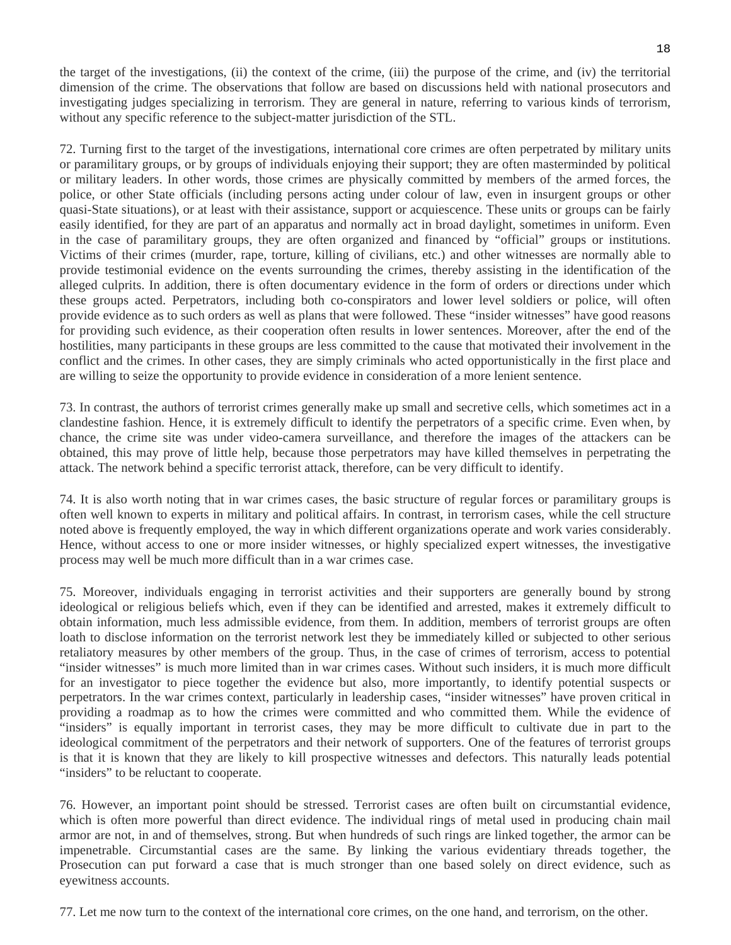the target of the investigations, (ii) the context of the crime, (iii) the purpose of the crime, and (iv) the territorial dimension of the crime. The observations that follow are based on discussions held with national prosecutors and investigating judges specializing in terrorism. They are general in nature, referring to various kinds of terrorism, without any specific reference to the subject-matter jurisdiction of the STL.

72. Turning first to the target of the investigations, international core crimes are often perpetrated by military units or paramilitary groups, or by groups of individuals enjoying their support; they are often masterminded by political or military leaders. In other words, those crimes are physically committed by members of the armed forces, the police, or other State officials (including persons acting under colour of law, even in insurgent groups or other quasi-State situations), or at least with their assistance, support or acquiescence. These units or groups can be fairly easily identified, for they are part of an apparatus and normally act in broad daylight, sometimes in uniform. Even in the case of paramilitary groups, they are often organized and financed by "official" groups or institutions. Victims of their crimes (murder, rape, torture, killing of civilians, etc.) and other witnesses are normally able to provide testimonial evidence on the events surrounding the crimes, thereby assisting in the identification of the alleged culprits. In addition, there is often documentary evidence in the form of orders or directions under which these groups acted. Perpetrators, including both co-conspirators and lower level soldiers or police, will often provide evidence as to such orders as well as plans that were followed. These "insider witnesses" have good reasons for providing such evidence, as their cooperation often results in lower sentences. Moreover, after the end of the hostilities, many participants in these groups are less committed to the cause that motivated their involvement in the conflict and the crimes. In other cases, they are simply criminals who acted opportunistically in the first place and are willing to seize the opportunity to provide evidence in consideration of a more lenient sentence.

73. In contrast, the authors of terrorist crimes generally make up small and secretive cells, which sometimes act in a clandestine fashion. Hence, it is extremely difficult to identify the perpetrators of a specific crime. Even when, by chance, the crime site was under video-camera surveillance, and therefore the images of the attackers can be obtained, this may prove of little help, because those perpetrators may have killed themselves in perpetrating the attack. The network behind a specific terrorist attack, therefore, can be very difficult to identify.

74. It is also worth noting that in war crimes cases, the basic structure of regular forces or paramilitary groups is often well known to experts in military and political affairs. In contrast, in terrorism cases, while the cell structure noted above is frequently employed, the way in which different organizations operate and work varies considerably. Hence, without access to one or more insider witnesses, or highly specialized expert witnesses, the investigative process may well be much more difficult than in a war crimes case.

75. Moreover, individuals engaging in terrorist activities and their supporters are generally bound by strong ideological or religious beliefs which, even if they can be identified and arrested, makes it extremely difficult to obtain information, much less admissible evidence, from them. In addition, members of terrorist groups are often loath to disclose information on the terrorist network lest they be immediately killed or subjected to other serious retaliatory measures by other members of the group. Thus, in the case of crimes of terrorism, access to potential "insider witnesses" is much more limited than in war crimes cases. Without such insiders, it is much more difficult for an investigator to piece together the evidence but also, more importantly, to identify potential suspects or perpetrators. In the war crimes context, particularly in leadership cases, "insider witnesses" have proven critical in providing a roadmap as to how the crimes were committed and who committed them. While the evidence of "insiders" is equally important in terrorist cases, they may be more difficult to cultivate due in part to the ideological commitment of the perpetrators and their network of supporters. One of the features of terrorist groups is that it is known that they are likely to kill prospective witnesses and defectors. This naturally leads potential "insiders" to be reluctant to cooperate.

76. However, an important point should be stressed. Terrorist cases are often built on circumstantial evidence, which is often more powerful than direct evidence. The individual rings of metal used in producing chain mail armor are not, in and of themselves, strong. But when hundreds of such rings are linked together, the armor can be impenetrable. Circumstantial cases are the same. By linking the various evidentiary threads together, the Prosecution can put forward a case that is much stronger than one based solely on direct evidence, such as eyewitness accounts.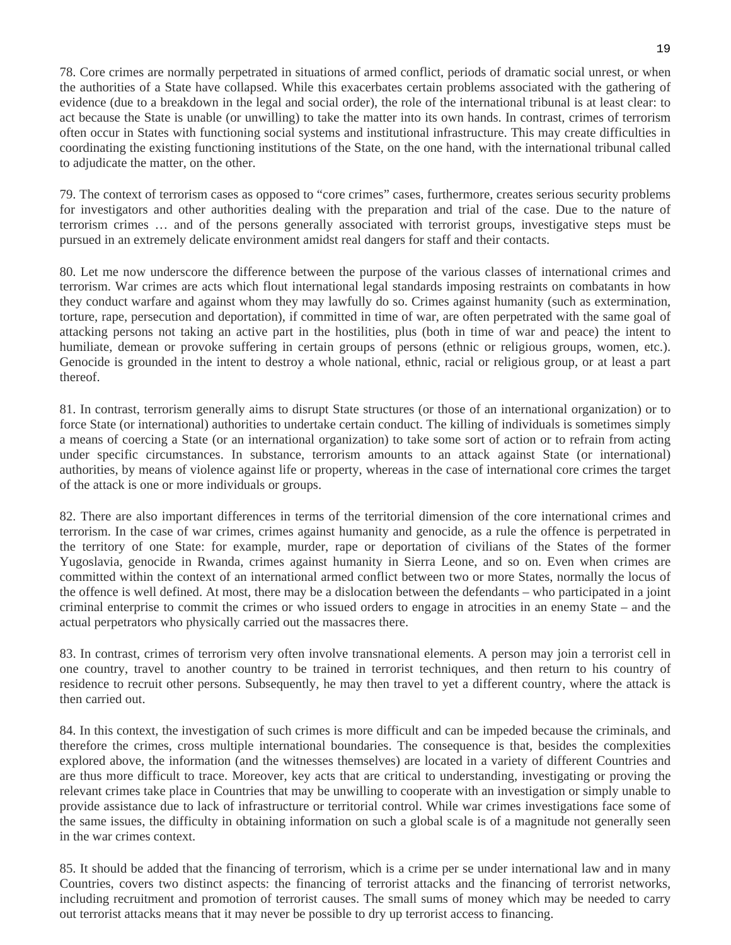78. Core crimes are normally perpetrated in situations of armed conflict, periods of dramatic social unrest, or when the authorities of a State have collapsed. While this exacerbates certain problems associated with the gathering of evidence (due to a breakdown in the legal and social order), the role of the international tribunal is at least clear: to act because the State is unable (or unwilling) to take the matter into its own hands. In contrast, crimes of terrorism often occur in States with functioning social systems and institutional infrastructure. This may create difficulties in coordinating the existing functioning institutions of the State, on the one hand, with the international tribunal called to adjudicate the matter, on the other.

79. The context of terrorism cases as opposed to "core crimes" cases, furthermore, creates serious security problems for investigators and other authorities dealing with the preparation and trial of the case. Due to the nature of terrorism crimes … and of the persons generally associated with terrorist groups, investigative steps must be pursued in an extremely delicate environment amidst real dangers for staff and their contacts.

80. Let me now underscore the difference between the purpose of the various classes of international crimes and terrorism. War crimes are acts which flout international legal standards imposing restraints on combatants in how they conduct warfare and against whom they may lawfully do so. Crimes against humanity (such as extermination, torture, rape, persecution and deportation), if committed in time of war, are often perpetrated with the same goal of attacking persons not taking an active part in the hostilities, plus (both in time of war and peace) the intent to humiliate, demean or provoke suffering in certain groups of persons (ethnic or religious groups, women, etc.). Genocide is grounded in the intent to destroy a whole national, ethnic, racial or religious group, or at least a part thereof.

81. In contrast, terrorism generally aims to disrupt State structures (or those of an international organization) or to force State (or international) authorities to undertake certain conduct. The killing of individuals is sometimes simply a means of coercing a State (or an international organization) to take some sort of action or to refrain from acting under specific circumstances. In substance, terrorism amounts to an attack against State (or international) authorities, by means of violence against life or property, whereas in the case of international core crimes the target of the attack is one or more individuals or groups.

82. There are also important differences in terms of the territorial dimension of the core international crimes and terrorism. In the case of war crimes, crimes against humanity and genocide, as a rule the offence is perpetrated in the territory of one State: for example, murder, rape or deportation of civilians of the States of the former Yugoslavia, genocide in Rwanda, crimes against humanity in Sierra Leone, and so on. Even when crimes are committed within the context of an international armed conflict between two or more States, normally the locus of the offence is well defined. At most, there may be a dislocation between the defendants – who participated in a joint criminal enterprise to commit the crimes or who issued orders to engage in atrocities in an enemy State – and the actual perpetrators who physically carried out the massacres there.

83. In contrast, crimes of terrorism very often involve transnational elements. A person may join a terrorist cell in one country, travel to another country to be trained in terrorist techniques, and then return to his country of residence to recruit other persons. Subsequently, he may then travel to yet a different country, where the attack is then carried out.

84. In this context, the investigation of such crimes is more difficult and can be impeded because the criminals, and therefore the crimes, cross multiple international boundaries. The consequence is that, besides the complexities explored above, the information (and the witnesses themselves) are located in a variety of different Countries and are thus more difficult to trace. Moreover, key acts that are critical to understanding, investigating or proving the relevant crimes take place in Countries that may be unwilling to cooperate with an investigation or simply unable to provide assistance due to lack of infrastructure or territorial control. While war crimes investigations face some of the same issues, the difficulty in obtaining information on such a global scale is of a magnitude not generally seen in the war crimes context.

85. It should be added that the financing of terrorism, which is a crime per se under international law and in many Countries, covers two distinct aspects: the financing of terrorist attacks and the financing of terrorist networks, including recruitment and promotion of terrorist causes. The small sums of money which may be needed to carry out terrorist attacks means that it may never be possible to dry up terrorist access to financing.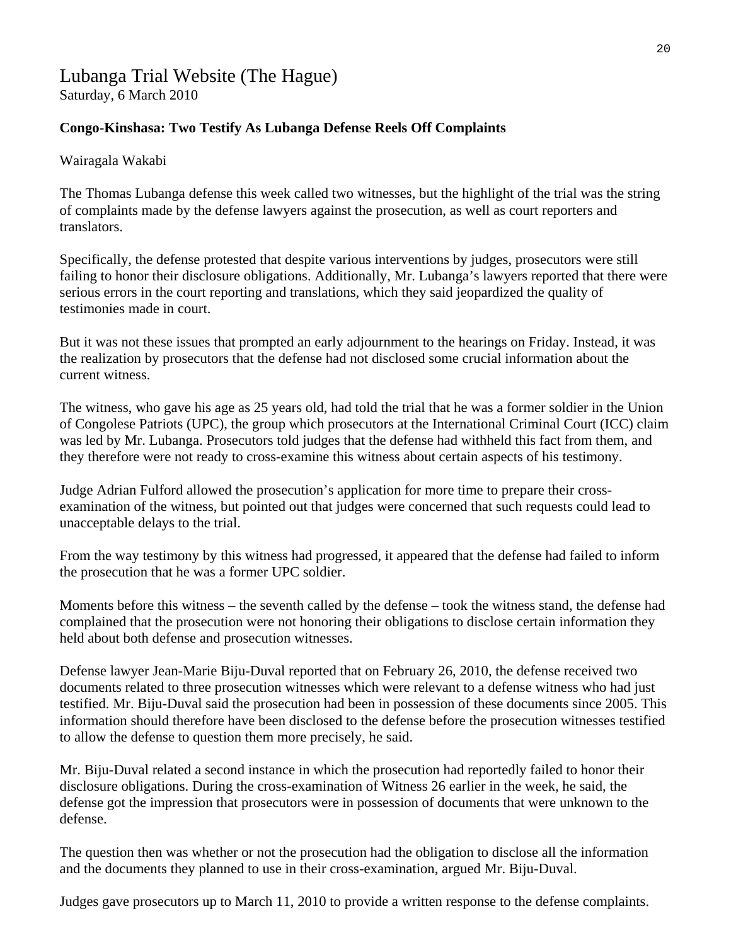## Lubanga Trial Website (The Hague) Saturday, 6 March 2010

### **Congo-Kinshasa: Two Testify As Lubanga Defense Reels Off Complaints**

#### Wairagala Wakabi

The Thomas Lubanga defense this week called two witnesses, but the highlight of the trial was the string of complaints made by the defense lawyers against the prosecution, as well as court reporters and translators.

Specifically, the defense protested that despite various interventions by judges, prosecutors were still failing to honor their disclosure obligations. Additionally, Mr. Lubanga's lawyers reported that there were serious errors in the court reporting and translations, which they said jeopardized the quality of testimonies made in court.

But it was not these issues that prompted an early adjournment to the hearings on Friday. Instead, it was the realization by prosecutors that the defense had not disclosed some crucial information about the current witness.

The witness, who gave his age as 25 years old, had told the trial that he was a former soldier in the Union of Congolese Patriots (UPC), the group which prosecutors at the International Criminal Court (ICC) claim was led by Mr. Lubanga. Prosecutors told judges that the defense had withheld this fact from them, and they therefore were not ready to cross-examine this witness about certain aspects of his testimony.

Judge Adrian Fulford allowed the prosecution's application for more time to prepare their crossexamination of the witness, but pointed out that judges were concerned that such requests could lead to unacceptable delays to the trial.

From the way testimony by this witness had progressed, it appeared that the defense had failed to inform the prosecution that he was a former UPC soldier.

Moments before this witness – the seventh called by the defense – took the witness stand, the defense had complained that the prosecution were not honoring their obligations to disclose certain information they held about both defense and prosecution witnesses.

Defense lawyer Jean-Marie Biju-Duval reported that on February 26, 2010, the defense received two documents related to three prosecution witnesses which were relevant to a defense witness who had just testified. Mr. Biju-Duval said the prosecution had been in possession of these documents since 2005. This information should therefore have been disclosed to the defense before the prosecution witnesses testified to allow the defense to question them more precisely, he said.

Mr. Biju-Duval related a second instance in which the prosecution had reportedly failed to honor their disclosure obligations. During the cross-examination of Witness 26 earlier in the week, he said, the defense got the impression that prosecutors were in possession of documents that were unknown to the defense.

The question then was whether or not the prosecution had the obligation to disclose all the information and the documents they planned to use in their cross-examination, argued Mr. Biju-Duval.

Judges gave prosecutors up to March 11, 2010 to provide a written response to the defense complaints.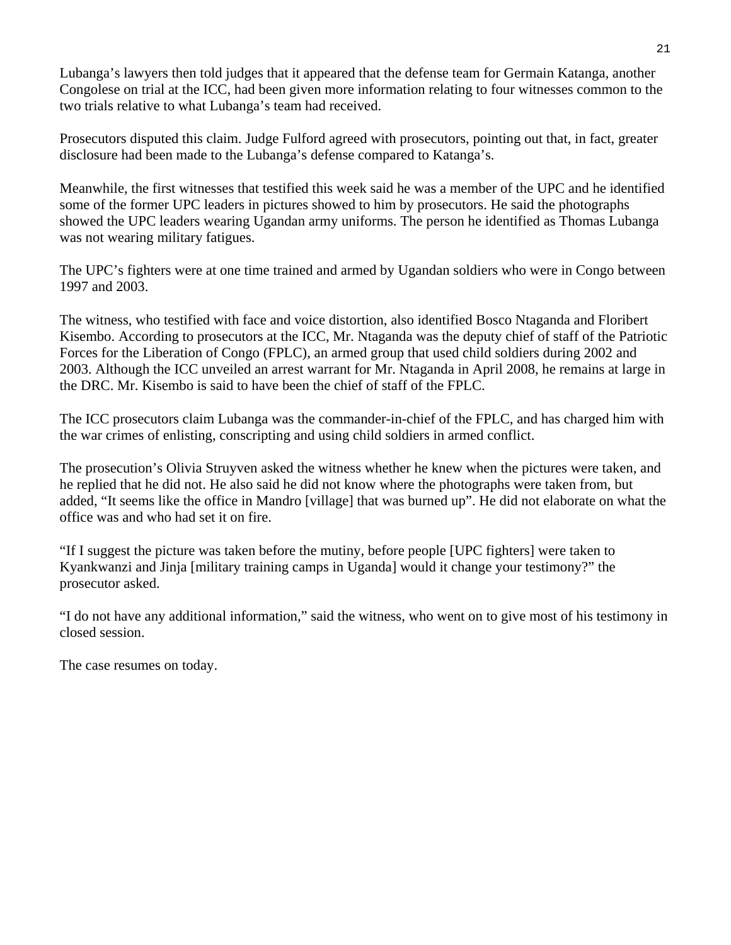Lubanga's lawyers then told judges that it appeared that the defense team for Germain Katanga, another Congolese on trial at the ICC, had been given more information relating to four witnesses common to the two trials relative to what Lubanga's team had received.

Prosecutors disputed this claim. Judge Fulford agreed with prosecutors, pointing out that, in fact, greater disclosure had been made to the Lubanga's defense compared to Katanga's.

Meanwhile, the first witnesses that testified this week said he was a member of the UPC and he identified some of the former UPC leaders in pictures showed to him by prosecutors. He said the photographs showed the UPC leaders wearing Ugandan army uniforms. The person he identified as Thomas Lubanga was not wearing military fatigues.

The UPC's fighters were at one time trained and armed by Ugandan soldiers who were in Congo between 1997 and 2003.

The witness, who testified with face and voice distortion, also identified Bosco Ntaganda and Floribert Kisembo. According to prosecutors at the ICC, Mr. Ntaganda was the deputy chief of staff of the Patriotic Forces for the Liberation of Congo (FPLC), an armed group that used child soldiers during 2002 and 2003. Although the ICC unveiled an arrest warrant for Mr. Ntaganda in April 2008, he remains at large in the DRC. Mr. Kisembo is said to have been the chief of staff of the FPLC.

The ICC prosecutors claim Lubanga was the commander-in-chief of the FPLC, and has charged him with the war crimes of enlisting, conscripting and using child soldiers in armed conflict.

The prosecution's Olivia Struyven asked the witness whether he knew when the pictures were taken, and he replied that he did not. He also said he did not know where the photographs were taken from, but added, "It seems like the office in Mandro [village] that was burned up". He did not elaborate on what the office was and who had set it on fire.

"If I suggest the picture was taken before the mutiny, before people [UPC fighters] were taken to Kyankwanzi and Jinja [military training camps in Uganda] would it change your testimony?" the prosecutor asked.

"I do not have any additional information," said the witness, who went on to give most of his testimony in closed session.

The case resumes on today.